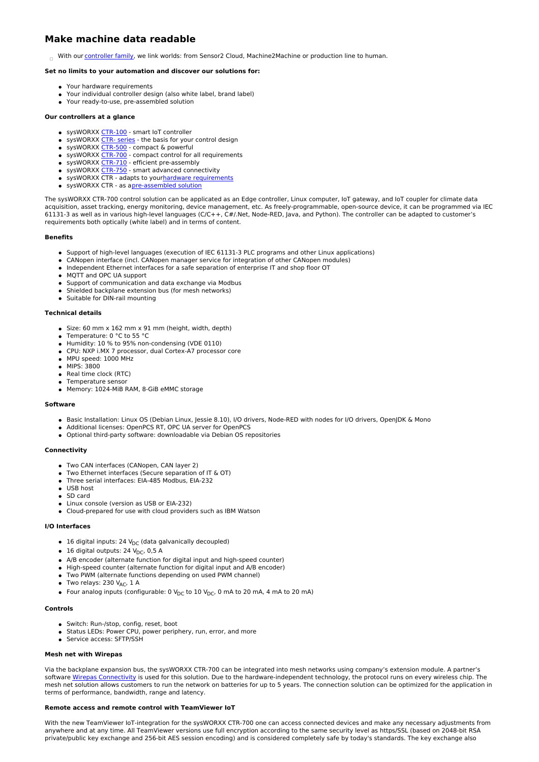# **Make machine data readable**

With our [controller](https://www.systec-electronic.com/produkte#c1570-25) family, we link worlds: from Sensor2 Cloud, Machine2Machine or production line to human.

# **Set no limits to your automation and discover our solutions for:**

- Your hardware requirements
- Your individual controller design (also white label, brand label)
- Your ready-to-use, pre-assembled solution

# **Our controllers at a glance**

- sysWORXX [CTR-100](https://www.systec-electronic.com/en/produkte/industrial-internet-of-things/sysworxx-ctr-100) smart IoT controller
- $\bullet$  sysWORXX CTR- [series](https://www.systec-electronic.com/en/products/industrial-internet-of-things/sysworxx-ctr-series-your-development) the basis for your control design
- $\bullet$  sysWORXX [CTR-500](https://www.systec-electronic.com/en/products/industrial-internet-of-things/sysworxx-ctr-500) compact & powerful
- sysWORXX [CTR-700](https://www.systec-electronic.com/en/produkte/industrial-internet-of-things/sysworxx-ctr-700) compact control for all requirements
- sysWORXX [CTR-710](https://www.systec-electronic.com/en/produkte/industrial-internet-of-things/sysworxx-ctr-710) efficient pre-assembly
- sysWORXX [CTR-750](https://www.systec-electronic.com/en/produkte/industrial-internet-of-things/sysworxx-ctr-750) smart advanced connectivity • sysWORXX CTR - adapts to yourhardware [requirements](https://www.systec-electronic.com/en/products/industrial-internet-of-things/sysworxx-ctr-series-your-hardware-requirements)
- sysWORXX CTR as a[pre-assembled](https://www.systec-electronic.com/en/products/industrial-internet-of-things/sysworxx-ctr-series-your-preconfigured-solution) solution

The sysWORXX CTR-700 control solution can be applicated as an Edge controller, Linux computer, IoT gateway, and IoT coupler for climate data acquisition, asset tracking, energy monitoring, device management, etc. As freely-programmable, open-source device, it can be programmed via IEC 61131-3 as well as in various high-level languages (C/C++, C#/.Net, Node-RED, Java, and Python). The controller can be adapted to customer's requirements both optically (white label) and in terms of content.

#### **Benefits**

- Support of high-level languages (execution of IEC 61131-3 PLC programs and other Linux applications)
- CANopen interface (incl. CANopen manager service for integration of other CANopen modules)
- Independent Ethernet interfaces for a safe separation of enterprise IT and shop floor OT
- **MOTT and OPC UA support**
- Support of communication and data exchange via Modbus
- Shielded backplane extension bus (for mesh networks)
- Suitable for DIN-rail mounting

# **Technical details**

- Size: 60 mm x 162 mm x 91 mm (height, width, depth)
- Temperature: 0 °C to 55 °C
- $\bullet$  Humidity: 10 % to 95% non-condensing (VDE 0110)
- CPU: NXP i.MX 7 processor, dual Cortex-A7 processor core
- MPU speed: 1000 MHz
- MIPS: 3800
- Real time clock (RTC)
- **•** Temperature sensor
- Memory: 1024-MiB RAM, 8-GiB eMMC storage

### **Software**

- Basic Installation: Linux OS (Debian Linux, Jessie 8.10), I/O drivers, Node-RED with nodes for I/O drivers, OpenJDK & Mono
- Additional licenses: OpenPCS RT, OPC UA server for OpenPCS
- Optional third-party software: downloadable via Debian OS repositories

# **Connectivity**

- Two CAN interfaces (CANopen, CAN layer 2)
- Two Ethernet interfaces (Secure separation of IT & OT)
- Three serial interfaces: EIA-485 Modbus, EIA-232
- USB host
- SD card Linux console (version as USB or EIA-232)
- Cloud-prepared for use with cloud providers such as IBM Watson

## **I/O Interfaces**

- 16 digital inputs: 24  $V_{DC}$  (data galvanically decoupled)
- $\bullet$  16 digital outputs: 24 V<sub>DC</sub>, 0,5 A
- A/B encoder (alternate function for digital input and high-speed counter)
- High-speed counter (alternate function for digital input and A/B encoder)
- Two PWM (alternate functions depending on used PWM channel)
- $\bullet$  Two relays: 230 V<sub>AC</sub>, 1 A
- Four analog inputs (configurable: 0  $V_{DC}$  to 10  $V_{DC}$ , 0 mA to 20 mA, 4 mA to 20 mA)

## **Controls**

- Switch: Run-/stop, config, reset, boot
- Status LEDs: Power CPU, power periphery, run, error, and more
- Service access: SFTP/SSH

## **Mesh net with Wirepas**

Via the backplane expansion bus, the sysWORXX CTR-700 can be integrated into mesh networks using company's extension module. A partner's software Wirepas [Connectivity](https://www.wirepas.com) is used for this solution. Due to the hardware-independent technology, the protocol runs on every wireless chip. The mesh net solution allows customers to run the network on batteries for up to 5 years. The connection solution can be optimized for the application in terms of performance, bandwidth, range and latency.

#### **Remote access and remote control with TeamViewer IoT**

With the new TeamViewer IoT-integration for the sysWORXX CTR-700 one can access connected devices and make any necessary adjustments from anywhere and at any time. All TeamViewer versions use full encryption according to the same security level as https/SSL (based on 2048-bit RSA private/public key exchange and 256-bit AES session encoding) and is considered completely safe by today's standards. The key exchange also